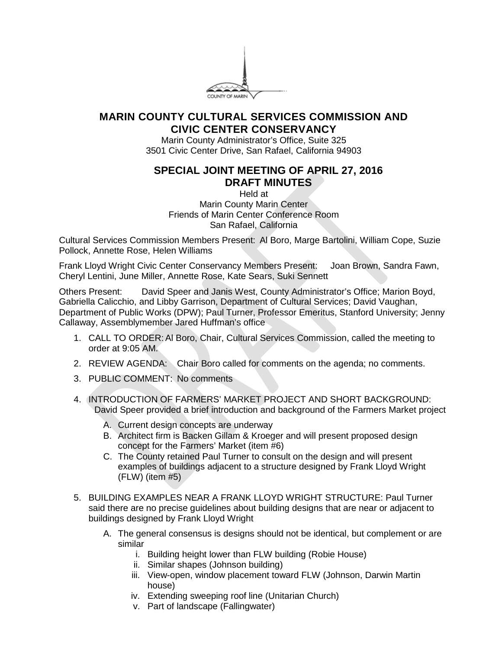

## **MARIN COUNTY CULTURAL SERVICES COMMISSION AND CIVIC CENTER CONSERVANCY**

Marin County Administrator's Office, Suite 325 3501 Civic Center Drive, San Rafael, California 94903

## **SPECIAL JOINT MEETING OF APRIL 27, 2016 DRAFT MINUTES**

Held at Marin County Marin Center Friends of Marin Center Conference Room San Rafael, California

Cultural Services Commission Members Present: Al Boro, Marge Bartolini, William Cope, Suzie Pollock, Annette Rose, Helen Williams

Frank Lloyd Wright Civic Center Conservancy Members Present: Joan Brown, Sandra Fawn, Cheryl Lentini, June Miller, Annette Rose, Kate Sears, Suki Sennett

Others Present: David Speer and Janis West, County Administrator's Office; Marion Boyd, Gabriella Calicchio, and Libby Garrison, Department of Cultural Services; David Vaughan, Department of Public Works (DPW); Paul Turner, Professor Emeritus, Stanford University; Jenny Callaway, Assemblymember Jared Huffman's office

- 1. CALL TO ORDER: Al Boro, Chair, Cultural Services Commission, called the meeting to order at 9:05 AM.
- 2. REVIEW AGENDA: Chair Boro called for comments on the agenda; no comments.
- 3. PUBLIC COMMENT: No comments
- 4. INTRODUCTION OF FARMERS' MARKET PROJECT AND SHORT BACKGROUND: David Speer provided a brief introduction and background of the Farmers Market project
	- A. Current design concepts are underway
	- B. Architect firm is Backen Gillam & Kroeger and will present proposed design concept for the Farmers' Market (item #6)
	- C. The County retained Paul Turner to consult on the design and will present examples of buildings adjacent to a structure designed by Frank Lloyd Wright (FLW) (item #5)
- 5. BUILDING EXAMPLES NEAR A FRANK LLOYD WRIGHT STRUCTURE: Paul Turner said there are no precise guidelines about building designs that are near or adjacent to buildings designed by Frank Lloyd Wright
	- A. The general consensus is designs should not be identical, but complement or are similar
		- i. Building height lower than FLW building (Robie House)
		- ii. Similar shapes (Johnson building)
		- iii. View-open, window placement toward FLW (Johnson, Darwin Martin house)
		- iv. Extending sweeping roof line (Unitarian Church)
		- v. Part of landscape (Fallingwater)